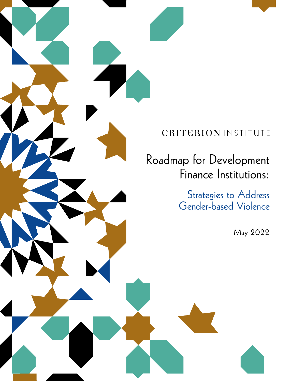### CRITERION INSTITUTE

Roadmap for Development Finance Institutions:

> Strategies to Address Gender-based Violence

> > May 2022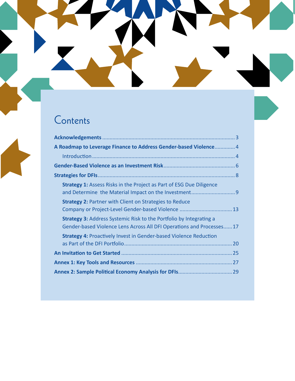# Contents

| A Roadmap to Leverage Finance to Address Gender-based Violence 4                                                                                   |
|----------------------------------------------------------------------------------------------------------------------------------------------------|
|                                                                                                                                                    |
|                                                                                                                                                    |
|                                                                                                                                                    |
| <b>Strategy 1: Assess Risks in the Project as Part of ESG Due Diligence</b>                                                                        |
| <b>Strategy 2: Partner with Client on Strategies to Reduce</b><br>Company or Project-Level Gender-based Violence  13                               |
| <b>Strategy 3: Address Systemic Risk to the Portfolio by Integrating a</b><br>Gender-based Violence Lens Across All DFI Operations and Processes17 |
| <b>Strategy 4: Proactively Invest in Gender-based Violence Reduction</b>                                                                           |
|                                                                                                                                                    |
|                                                                                                                                                    |
|                                                                                                                                                    |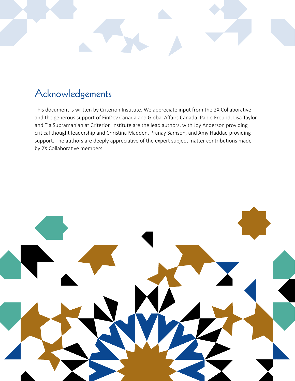# Acknowledgements

This document is written by Criterion Institute. We appreciate input from the 2X Collaborative and the generous support of FinDev Canada and Global Affairs Canada. Pablo Freund, Lisa Taylor, and Tia Subramanian at Criterion Institute are the lead authors, with Joy Anderson providing critical thought leadership and Christina Madden, Pranay Samson, and Amy Haddad providing support. The authors are deeply appreciative of the expert subject matter contributions made by 2X Collaborative members.

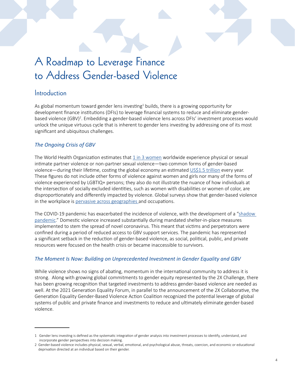# A Roadmap to Leverage Finance to Address Gender-based Violence

### **Introduction**

As global momentum toward gender lens investing<sup>1</sup> builds, there is a growing opportunity for development finance institutions (DFIs) to leverage financial systems to reduce and eliminate genderbased violence (GBV)<sup>2</sup>. Embedding a gender-based violence lens across DFIs' investment processes would unlock the unique virtuous cycle that is inherent to gender lens investing by addressing one of its most significant and ubiquitous challenges.

#### *The Ongoing Crisis of GBV*

The World Health Organization estimates that  $1$  in 3 women worldwide experience physical or sexual intimate partner violence or non-partner sexual violence—two common forms of gender-based violence—during their lifetime, costing the global economy an estimated [US\\$1.5 trillion](https://www.unwomen.org/en/news/stories/2016/9/speech-by-lakshmi-puri-on-economic-costs-of-violence-against-women) every year. These figures do not include other forms of violence against women and girls nor many of the forms of violence experienced by LGBTIQ+ persons; they also do not illustrate the nuance of how individuals at the intersection of socially excluded identities, such as women with disabilities or women of color, are disproportionately and differently impacted by violence. Global surveys show that gender-based violence in the workplace is [pervasive across geographies a](https://www.endvawnow.org/fr/articles/1935-violence-and-harassment-in-the-workplace.html)nd occupations.

The COVID-19 pandemic has exacerbated the incidence of violence, with the development of a "shadow [pandemic.](https://www.unwomen.org/en/news/in-focus/in-focus-gender-equality-in-covid-19-response/violence-against-women-during-covid-19)" Domestic violence increased substantially during mandated shelter-in-place measures implemented to stem the spread of novel coronavirus. This meant that victims and perpetrators were confined during a period of reduced access to GBV support services. The pandemic has represented a significant setback in the reduction of gender-based violence, as social, political, public, and private resources were focused on the health crisis or became inaccessible to survivors.

#### *The Moment Is Now: Building on Unprecedented Investment in Gender Equality and GBV*

While violence shows no signs of abating, momentum in the international community to address it is strong. Along with growing global commitments to gender equity represented by the 2X Challenge, there has been growing recognition that targeted investments to address gender-based violence are needed as well. At the 2021 Generation Equality Forum, in parallel to the announcement of the 2X Collaborative, the Generation Equality Gender-Based Violence Action Coalition recognized the potential leverage of global systems of public and private finance and investments to reduce and ultimately eliminate gender-based violence.

<sup>1</sup> Gender lens investing is defined as the systematic integration of gender analysis into investment processes to identify, understand, and incorporate gender perspectives into decision making.

<sup>2</sup> Gender-based violence includes physical, sexual, verbal, emotional, and psychological abuse, threats, coercion, and economic or educational deprivation directed at an individual based on their gender.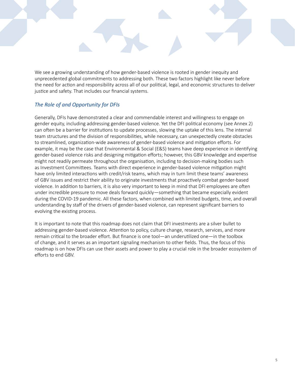We see a growing understanding of how gender-based violence is rooted in gender inequity and unprecedented global commitments to addressing both. These two factors highlight like never before the need for action and responsibility across all of our political, legal, and economic structures to deliver justice and safety. That includes our financial systems.

#### *The Role of and Opportunity for DFIs*

Generally, DFIs have demonstrated a clear and commendable interest and willingness to engage on gender equity, including addressing gender-based violence. Yet the DFI political economy (see Annex 2) can often be a barrier for institutions to update processes, slowing the uptake of this lens. The internal team structures and the division of responsibilities, while necessary, can unexpectedly create obstacles to streamlined, organization-wide awareness of gender-based violence and mitigation efforts. For example, it may be the case that Environmental & Social (E&S) teams have deep experience in identifying gender-based violence risks and designing mitigation efforts; however, this GBV knowledge and expertise might not readily permeate throughout the organisation, including to decision-making bodies such as Investment Committees. Teams with direct experience in gender-based violence mitigation might have only limited interactions with credit/risk teams, which may in turn limit these teams' awareness of GBV issues and restrict their ability to originate investments that proactively combat gender-based violence. In addition to barriers, it is also very important to keep in mind that DFI employees are often under incredible pressure to move deals forward quickly—something that became especially evident during the COVID-19 pandemic. All these factors, when combined with limited budgets, time, and overall understanding by staff of the drivers of gender-based violence, can represent significant barriers to evolving the existing process.

It is important to note that this roadmap does not claim that DFI investments are a silver bullet to addressing gender-based violence. Attention to policy, culture change, research, services, and more remain critical to the broader effort. But finance is one tool—an underutilized one—in the toolbox of change, and it serves as an important signaling mechanism to other fields. Thus, the focus of this roadmap is on how DFIs can use their assets and power to play a crucial role in the broader ecosystem of efforts to end GBV.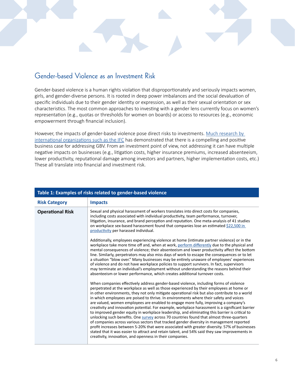### Gender-based Violence as an Investment Risk

Gender-based violence is a human rights violation that disproportionately and seriously impacts women, girls, and gender-diverse persons. It is rooted in deep power imbalances and the social devaluation of specific individuals due to their gender identity or expression, as well as their sexual orientation or sex characteristics. The most common approaches to investing with a gender lens currently focus on women's representation (e.g., quotas or thresholds for women on boards) or access to resources (e.g., economic empowerment through financial inclusion).

However, the impacts of gender-based violence pose direct risks to investments. Much research by [international organizations such as the IFC](https://www.ifc.org/wps/wcm/connect/f1645167-7eff-439b-922b-7656c75320ab/GPN_AddressingGBVH_July2020.pdf?MOD=AJPERES&CVID=nddokiS) has demonstrated that there is a compelling and positive business case for addressing GBV. From an investment point of view, not addressing it can have multiple negative impacts on businesses (e.g., litigation costs, higher insurance premiums, increased absenteeism, lower productivity, reputational damage among investors and partners, higher implementation costs, etc.) These all translate into financial and investment risk.

| Table 1: Examples of risks related to gender-based violence |                                                                                                                                                                                                                                                                                                                                                                                                                                                                                                                                                                                                                                                                                                                                                                                                                                                                                                                                                                                                                                                                                                                               |  |  |  |
|-------------------------------------------------------------|-------------------------------------------------------------------------------------------------------------------------------------------------------------------------------------------------------------------------------------------------------------------------------------------------------------------------------------------------------------------------------------------------------------------------------------------------------------------------------------------------------------------------------------------------------------------------------------------------------------------------------------------------------------------------------------------------------------------------------------------------------------------------------------------------------------------------------------------------------------------------------------------------------------------------------------------------------------------------------------------------------------------------------------------------------------------------------------------------------------------------------|--|--|--|
| <b>Risk Category</b>                                        | <b>Impacts</b>                                                                                                                                                                                                                                                                                                                                                                                                                                                                                                                                                                                                                                                                                                                                                                                                                                                                                                                                                                                                                                                                                                                |  |  |  |
| <b>Operational Risk</b>                                     | Sexual and physical harassment of workers translates into direct costs for companies,<br>including costs associated with individual productivity, team performance, turnover,<br>litigation, insurance, and brand perception and reputation. One meta-analysis of 41 studies<br>on workplace sex-based harassment found that companies lose an estimated \$22,500 in<br>productivity per harassed individual.                                                                                                                                                                                                                                                                                                                                                                                                                                                                                                                                                                                                                                                                                                                 |  |  |  |
|                                                             | Additionally, employees experiencing violence at home (intimate partner violence) or in the<br>workplace take more time off and, when at work, perform differently due to the physical and<br>mental consequences of violence; their absenteeism and lower productivity affect the bottom<br>line. Similarly, perpetrators may also miss days of work to escape the consequences or to let<br>a situation "blow over." Many businesses may be entirely unaware of employees' experiences<br>of violence and do not have workplace policies to support survivors. In fact, supervisors<br>may terminate an individual's employment without understanding the reasons behind their<br>absenteeism or lower performance, which creates additional turnover costs.                                                                                                                                                                                                                                                                                                                                                                |  |  |  |
|                                                             | When companies effectively address gender-based violence, including forms of violence<br>perpetrated at the workplace as well as those experienced by their employees at home or<br>in other environments, they not only mitigate operational risk but also contribute to a world<br>in which employees are poised to thrive. In environments where their safety and voices<br>are valued, women employees are enabled to engage more fully, improving a company's<br>creativity and innovation potential. For example, workplace harassment is a significant barrier<br>to improved gender equity in workplace leadership, and eliminating this barrier is critical to<br>unlocking such benefits. One survey across 70 countries found that almost three-quarters<br>of companies across various sectors that tracked gender diversity in management reported<br>profit increases between 5-20% that were associated with greater diversity. 57% of businesses<br>stated that it was easier to attract and retain talent, and 54% said they saw improvements in<br>creativity, innovation, and openness in their companies. |  |  |  |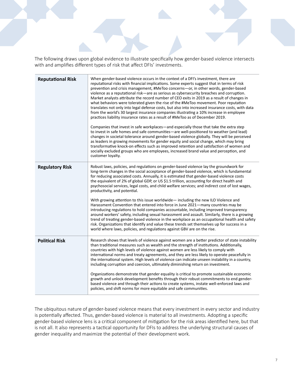The following draws upon global evidence to illustrate specifically how gender-based violence intersects with and amplifies different types of risk that affect DFIs' investments.

| <b>Reputational Risk</b> | When gender-based violence occurs in the context of a DFI's investment, there are<br>reputational risks with financial implications. Some experts suggest that in terms of risk<br>prevention and crisis management, #MeToo concerns-or, in other words, gender-based<br>violence as a reputational risk-are as serious as cybersecurity breaches and corruption.<br>Market analysts attribute the record number of CEO exits in 2019 as a result of changes in<br>what behaviors were tolerated given the rise of the #MeToo movement. Poor reputation<br>translates not only into legal defense costs, but also into increased insurance costs, with data<br>from the world's 30 largest insurance companies illustrating a 10% increase in employee<br>practices liability insurance rates as a result of #MeToo as of December 2019.<br>Companies that invest in safe workplaces—and especially those that take the extra step<br>to invest in safe homes and safe communities—are well-positioned to weather (and lead)<br>changes in societal tolerance around gender-based violence globally. They will be perceived<br>as leaders in growing movements for gender equity and social change, which may bring<br>transformative knock-on effects such as improved retention and satisfaction of women and<br>socially excluded groups who are employees, increased brand value and perception, and<br>customer loyalty. |
|--------------------------|-------------------------------------------------------------------------------------------------------------------------------------------------------------------------------------------------------------------------------------------------------------------------------------------------------------------------------------------------------------------------------------------------------------------------------------------------------------------------------------------------------------------------------------------------------------------------------------------------------------------------------------------------------------------------------------------------------------------------------------------------------------------------------------------------------------------------------------------------------------------------------------------------------------------------------------------------------------------------------------------------------------------------------------------------------------------------------------------------------------------------------------------------------------------------------------------------------------------------------------------------------------------------------------------------------------------------------------------------------------------------------------------------------------------------------|
| <b>Regulatory Risk</b>   | Robust laws, policies, and regulations on gender-based violence lay the groundwork for<br>long-term changes in the social acceptance of gender-based violence, which is fundamental<br>for reducing associated costs. Annually, it is estimated that gender-based violence costs<br>the equivalent of 2% of global GDP, or US\$1.5 trillion, accounting for direct health and<br>psychosocial services, legal costs, and child welfare services; and indirect cost of lost wages,<br>productivity, and potential.<br>With growing attention to this issue worldwide - including the new ILO Violence and<br>Harassment Convention that entered into force in June 2021—many countries may be<br>introducing regulations to hold companies accountable, including improved transparency<br>around workers' safety, including sexual harassment and assault. Similarly, there is a growing<br>trend of treating gender-based violence in the workplace as an occupational health and safety<br>risk. Organizations that identify and value these trends set themselves up for success in a<br>world where laws, policies, and regulations against GBV are on the rise.                                                                                                                                                                                                                                                          |
| <b>Political Risk</b>    | Research shows that levels of violence against women are a better predictor of state instability<br>than traditional measures such as wealth and the strength of institutions. Additionally,<br>countries with high levels of violence against women are less likely to comply with<br>international norms and treaty agreements, and they are less likely to operate peacefully in<br>the international system. High levels of violence can indicate unseen instability in a country,<br>including corruption and coercion, ultimately diminishing return on investment.<br>Organizations demonstrate that gender equality is critical to promote sustainable economic<br>growth and unlock development benefits through their robust commitments to end gender-<br>based violence and through their actions to create systems, instate well-enforced laws and<br>policies, and shift norms for more equitable and safe communities.                                                                                                                                                                                                                                                                                                                                                                                                                                                                                         |

The ubiquitous nature of gender-based violence means that every investment in every sector and industry is potentially affected. Thus, gender-based violence is material to all investments. Adopting a specific gender-based violence lens is a critical component of mitigation for the risk areas identified here, but that is not all. It also represents a tactical opportunity for DFIs to address the underlying structural causes of gender inequality and maximize the potential of their development work.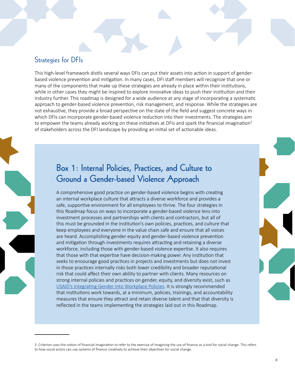### Strategies for DFIs

This high-level framework distils several ways DFIs can put their assets into action in support of genderbased violence prevention and mitigation. In many cases, DFI staff members will recognize that one or many of the components that make up these strategies are already in place within their institutions, while in other cases they might be inspired to explore innovative ideas to push their institution and their industry further. This roadmap is designed for a wide audience at any stage of incorporating a systematic approach to gender-based violence prevention, risk management, and response. While the strategies are not exhaustive, they provide a broad perspective on the state of the field and suggest concrete ways in which DFIs can incorporate gender-based violence reduction into their investments. The strategies aim to empower the teams already working on these initiatives at DFIs and spark the financial imagination<sup>3</sup> of stakeholders across the DFI landscape by providing an initial set of actionable ideas.

### Box 1: Internal Policies, Practices, and Culture to Ground a Gender-based Violence Approach

A comprehensive good practice on gender-based violence begins with creating an internal workplace culture that attracts a diverse workforce and provides a safe, supportive environment for all employees to thrive. The four strategies in this Roadmap focus on ways to incorporate a gender-based violence lens into investment processes and partnerships with clients and contractors, but all of this must be grounded in the institution's own policies, practices, and culture that keep employees and everyone in the value chain safe and ensure that all voices are heard. Accomplishing gender equity and gender-based violence prevention and mitigation through investments requires attracting and retaining a diverse workforce, including those with gender-based violence expertise. It also requires that those with that expertise have decision-making power. Any institution that seeks to encourage good practices in projects and investments but does not invest in those practices internally risks both lower credibility and broader reputational risk that could affect their own ability to partner with clients. Many resources on strong internal policies and practices on gender, equity, and diversity exist, such as [USAID's Integrating Gender into Workplace Policies](https://www.usaid.gov/engendering-industries/gender-equality-guides/policies). It is strongly recommended that institutions work towards, at a minimum, policies, trainings, and accountability measures that ensure they attract and retain diverse talent and that that diversity is reflected in the teams implementing the strategies laid out in this Roadmap.

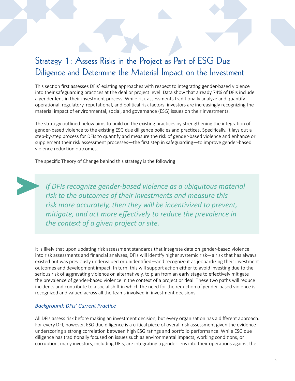### Strategy 1: Assess Risks in the Project as Part of ESG Due Diligence and Determine the Material Impact on the Investment

This section first assesses DFIs' existing approaches with respect to integrating gender-based violence into their safeguarding practices at the deal or project level. Data show that already 74% of DFIs include a gender lens in their investment process. While risk assessments traditionally analyze and quantify operational, regulatory, reputational, and political risk factors, investors are increasingly recognizing the material impact of environmental, social, and governance (ESG) issues on their investments.

The strategy outlined below aims to build on the existing practices by strengthening the integration of gender-based violence to the existing ESG due diligence policies and practices. Specifically, it lays out a step-by-step process for DFIs to quantify and measure the risk of gender-based violence and enhance or supplement their risk assessment processes—the first step in safeguarding—to improve gender-based violence reduction outcomes.

The specific Theory of Change behind this strategy is the following:

*If DFIs recognize gender-based violence as a ubiquitous material risk to the outcomes of their investments and measure this risk more accurately, then they will be incentivized to prevent, mitigate, and act more effectively to reduce the prevalence in the context of a given project or site.* 

It is likely that upon updating risk assessment standards that integrate data on gender-based violence into risk assessments and financial analyses, DFIs will identify higher systemic risk—a risk that has always existed but was previously undervalued or unidentified—and recognize it as jeopardizing their investment outcomes and development impact. In turn, this will support action either to avoid investing due to the serious risk of aggravating violence or, alternatively, to plan from an early stage to effectively mitigate the prevalence of gender-based violence in the context of a project or deal. These two paths will reduce incidents and contribute to a social shift in which the need for the reduction of gender-based violence is recognized and valued across all the teams involved in investment decisions.

#### *Background: DFIs' Current Practice*

All DFIs assess risk before making an investment decision, but every organization has a different approach. For every DFI, however, ESG due diligence is a critical piece of overall risk assessment given the [evidence](https://www.fidelityinternational.com/editorial/blog/chart-room-the-clear-link-between-esg-and-returns-bbf01a-en5/)  underscoring a strong correlation between high ESG ratings and portfolio performance. While ESG due diligence has traditionally focused on issues such as environmental impacts, working conditions, or corruption, many investors, including DFIs, are integrating a gender lens into their operations against the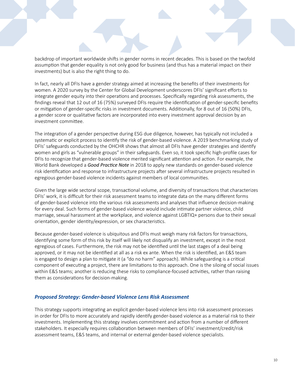backdrop of important worldwide shifts in gender norms in recent decades. This is based on the twofold assumption that gender equality is not only good for business (and thus has a material impact on their investments) but is also the right thing to do.

In fact, [nearly all DFIs](https://cgdev.org/gender-finance-survey) have a gender strategy aimed at increasing the benefits of their investments for women. A 2020 survey by the Center for Global Development underscores DFIs' significant efforts to integrate gender equity into their operations and processes. Specifically regarding risk assessments, the [findings](https://cgdev.org/gender-finance-survey) reveal that 12 out of 16 (75%) surveyed DFIs require the identification of gender-specific benefits or mitigation of gender-specific risks in investment documents. Additionally, for 8 out of 16 (50%) DFIs, a gender score or qualitative factors are incorporated into every investment approval decision by an investment committee.

The integration of a gender perspective during ESG due diligence, however, has typically not included a systematic or explicit process to identify the risk of gender-based violence. A 2019 benchmarking [study](https://www.ohchr.org/Documents/Issues/Development/DFI/OHCHR_Benchmarking Study_HRDD.pdf) of DFIs' safeguards conducted by the OHCHR shows that almost all DFIs have gender strategies and identify women and girls as "vulnerable groups" in their safeguards. Even so, it took specific high-profile cases for DFIs to recognize that gender-based violence merited significant attention and action. For example, the World Bank developed a *[Good Practice Note](https://documents1.worldbank.org/curated/en/399881538336159607/Environment-and-Social-Framework-ESF-Good-Practice-Note-on-Gender-based-Violence-English.pdf)* in 2018 to apply new standards on gender-based violence risk identification and response to infrastructure projects after several infrastructure projects resulted in egregious gender-based violence incidents against members of local communities.

Given the large wide sectoral scope, transactional volume, and diversity of transactions that characterizes DFIs' work, it is difficult for their risk assessment teams to integrate data on the many different forms of gender-based violence into the various risk assessments and analyses that influence decision-making for every deal. Such forms of gender-based violence would include intimate partner violence, child marriage, sexual harassment at the workplace, and violence against LGBTIQ+ persons due to their sexual orientation, gender identity/expression, or sex characteristics.

Because gender-based violence is ubiquitous and DFIs must weigh many risk factors for transactions, identifying some form of this risk by itself will likely not disqualify an investment, except in the most egregious of cases. Furthermore, the risk may not be identified until the last stages of a deal being approved, or it may not be identified at all as a risk ex ante. When the risk is identified, an E&S team is engaged to design a plan to mitigate it (a "do no harm" approach). While safeguarding is a critical component of executing a project, there are limitations to this approach. One is the siloing of social issues within E&S teams; another is reducing these risks to compliance-focused activities, rather than raising them as considerations for decision-making.

#### *Proposed Strategy: Gender-based Violence Lens Risk Assessment*

This strategy supports integrating an explicit gender-based violence lens into risk assessment processes in order for DFIs to more accurately and rapidly identify gender-based violence as a material risk to their investments. Implementing this strategy involves commitment and action from a number of different stakeholders. It especially requires collaboration between members of DFIs' investment/credit/risk assessment teams, E&S teams, and internal or external gender-based violence specialists.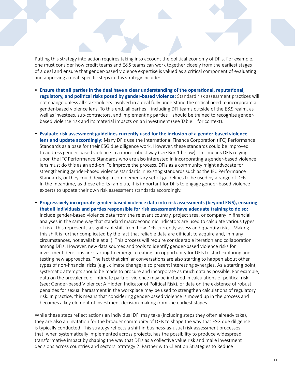Putting this strategy into action requires taking into account the political economy of DFIs. For example, one must consider how credit teams and E&S teams can work together closely from the earliest stages of a deal and ensure that gender-based violence expertise is valued as a critical component of evaluating and approving a deal. Specific steps in this strategy include:

- **Ensure that all parties in the deal have a clear understanding of the operational, reputational, regulatory, and political risks posed by gender-based violence:** Standard risk assessment practices will not change unless all stakeholders involved in a deal fully understand the critical need to incorporate a gender-based violence lens. To this end, all parties—including DFI teams outside of the E&S realm, as well as investees, sub-contractors, and implementing parties—should be trained to recognize genderbased violence risk and its material impacts on an investment (see Table 1 for context).
- **Evaluate risk assessment guidelines currently used for the inclusion of a gender-based violence lens and update accordingly:** Many DFIs use the International Finance Corporation (IFC) Performance Standards as a base for their ESG due diligence work. However, these standards could be improved to address gender-based violence in a more robust way (see Box 1 below). This means DFIs relying upon the IFC Performance Standards who are also interested in incorporating a gender-based violence lens must do this as an add-on. To improve the process, DFIs as a community might advocate for strengthening gender-based violence standards in existing standards such as the IFC Performance Standards, or they could develop a complementary set of guidelines to be used by a range of DFIs. In the meantime, as these efforts ramp up, it is important for DFIs to engage gender-based violence experts to update their own risk assessment standards accordingly.
- **Progressively incorporate gender-based violence data into risk assessments (beyond E&S), ensuring that all individuals and parties responsible for risk assessment have adequate training to do so:**  Include gender-based violence data from the relevant country, project area, or company in financial analyses in the same way that standard macroeconomic indicators are used to calculate various types of risk. This represents a significant shift from how DFIs currently assess and quantify risks. Making this shift is further complicated by the fact that reliable data are difficult to acquire and, in many circumstances, not available at all). This process will require considerable iteration and collaboration among DFIs. However, new data sources and tools to identify gender-based violence risks for investment decisions are starting to emerge, creating an opportunity for DFIs to start exploring and testing new approaches. The fact that similar conversations are also starting to happen about other types of non-financial risks (e.g., climate change) also present interesting synergies. As a starting point, systematic attempts should be made to procure and incorporate as much data as possible. For example, data on the prevalence of intimate partner violence may be included in calculations of political risk (see: Gender-based Violence: A Hidden Indicator of Political Risk), or data on the existence of robust penalties for sexual harassment in the workplace may be used to strengthen calculations of regulatory risk. In practice, this means that considering gender-based violence is moved up in the process and becomes a key element of investment decision-making from the earliest stages.

While these steps reflect actions an individual DFI may take (including steps they often already take), they are also an invitation for the broader community of DFIs to shape the way that ESG due diligence is typically conducted. This strategy reflects a shift in business-as-usual risk assessment processes that, when systematically implemented across projects, has the possibility to produce widespread, transformative impact by shaping the way that DFIs as a collective value risk and make investment decisions across countries and sectors. Strategy 2: Partner with Client on Strategies to Reduce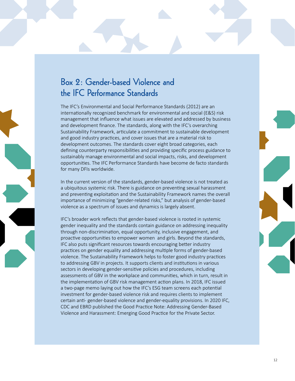### Box 2: Gender-based Violence and the IFC Performance Standards

The IFC's Environmental and Social Performance Standards (2012) are an internationally recognized benchmark for environmental and social (E&S) risk management that influence what issues are elevated and addressed by business and development finance. The standards, along with the IFC's overarching Sustainability Framework, articulate a commitment to sustainable development and good industry practices, and cover issues that are a material risk to development outcomes. The standards cover eight broad categories, each defining counterparty responsibilities and providing specific process guidance to sustainably manage environmental and social impacts, risks, and development opportunities. The IFC Performance Standards have become de facto standards for many DFIs worldwide.

In the current version of the standards, gender-based violence is not treated as a ubiquitous systemic risk. There is guidance on preventing sexual harassment and preventing exploitation and the Sustainability Framework names the overall importance of minimizing "gender-related risks," but analysis of gender-based violence as a spectrum of issues and dynamics is largely absent.

IFC's broader work reflects that gender-based violence is rooted in systemic gender inequality and the standards contain guidance on addressing inequality through non-discrimination, equal opportunity, inclusive engagement, and proactive opportunities to empower women and girls. Beyond the standards, IFC also puts significant resources towards encouraging better industry practices on gender equality and addressing multiple forms of gender-based violence. The Sustainability Framework helps to foster good industry practices to addressing GBV in projects. It supports clients and institutions in various sectors in developing gender-sensitive policies and procedures, including assessments of GBV in the workplace and communities, which in turn, result in the implementation of GBV risk management action plans. In 2018, IFC issued a two-page memo laying out how the IFC's ESG team screens each potential investment for gender-based violence risk and requires clients to implement certain anti- gender-based violence and gender-equality provisions. In 2020 IFC, CDC and EBRD published the Good Practice Note: Addressing Gender-Based Violence and Harassment: Emerging Good Practice for the Private Sector.

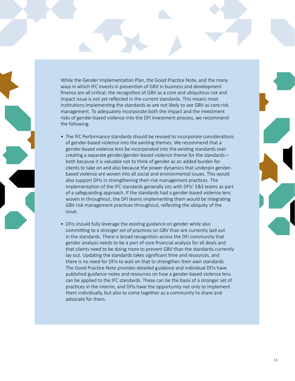While the Gender Implementation Plan, the Good Practice Note, and the many ways in which IFC invests in prevention of GBV in business and development finance are all critical, the recognition of GBV as a core and ubiquitous risk and impact issue is not yet reflected in the current standards. This means most institutions implementing the standards as are not likely to see GBV as core risk management. To adequately incorporate both the impact and the investment risks of gender-based violence into the DFI investment process, we recommend the following.

- The IFC Performance standards should be revised to incorporate considerations of gender-based violence into the existing themes. We recommend that a gender-based violence lens be incorporated into the existing standards over creating a separate gender/gender-based violence theme for the standards both because it is valuable not to think of gender as an added burden for clients to take on and also because the power dynamics that underpin genderbased violence are woven into all social and environmental issues. This would also support DFIs in strengthening their risk management practices. The implementation of the IFC standards generally sits with DFIs' E&S teams as part of a safeguarding approach. If the standards had a gender-based violence lens woven in throughout, the DFI teams implementing them would be integrating GBV risk management practices throughout, reflecting the ubiquity of the issue.
- DFIs should fully leverage the existing guidance on gender while also committing to a stronger set of practices on GBV than are currently laid out in the standards. There is broad recognition across the DFI community that gender analysis needs to be a part of core financial analysis for all deals and that clients need to be doing more to prevent GBV than the standards currently lay out. Updating the standards takes significant time and resources, and there is no need for DFIs to wait on that to strengthen their own standards. The Good Practice Note provides detailed guidance and individual DFIs have published guidance notes and resources on how a gender-based violence lens can be applied to the IFC standards. These can be the basis of a stronger set of practices in the interim, and DFIs have the opportunity not only to implement them individually, but also to come together as a community to share and advocate for them.

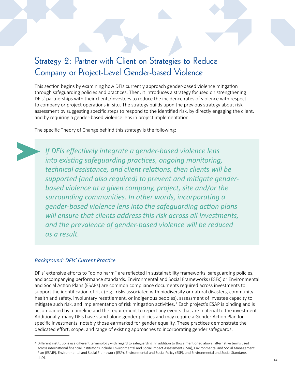### Strategy 2: Partner with Client on Strategies to Reduce Company or Project-Level Gender-based Violence

This section begins by examining how DFIs currently approach gender-based violence mitigation through safeguarding policies and practices. Then, it introduces a strategy focused on strengthening DFIs' partnerships with their clients/investees to reduce the incidence rates of violence with respect to company or project operations in situ. The strategy builds upon the previous strategy about risk assessment by suggesting specific steps to respond to the identified risk, by directly engaging the client, and by requiring a gender-based violence lens in project implementation.

The specific Theory of Change behind this strategy is the following:

*If DFIs effectively integrate a gender-based violence lens into existing safeguarding practices, ongoing monitoring, technical assistance, and client relations, then clients will be supported (and also required) to prevent and mitigate genderbased violence at a given company, project, site and/or the surrounding communities. In other words, incorporating a gender-based violence lens into the safeguarding action plans will ensure that clients address this risk across all investments, and the prevalence of gender-based violence will be reduced as a result.*

#### *Background: DFIs' Current Practice*

DFIs' extensive efforts to "do no harm" are reflected in sustainability frameworks, safeguarding policies, and accompanying performance standards. Environmental and Social Frameworks (ESFs) or Environmental and Social Action Plans (ESAPs) are common compliance documents required across investments to support the identification of risk (e.g., risks associated with biodiversity or natural disasters, community health and safety, involuntary resettlement, or indigenous peoples), assessment of investee capacity to mitigate such risk, and implementation of risk mitigation activities. 4 Each project's ESAP is binding and is accompanied by a timeline and the requirement to report any events that are material to the investment. Additionally, many DFIs have stand-alone gender policies and may require a Gender Action Plan for specific investments, notably those earmarked for gender equality. These practices demonstrate the dedicated effort, scope, and range of existing approaches to incorporating gender safeguards.

<sup>4</sup> Different institutions use different terminology with regard to safeguarding. In addition to those mentioned above, alternative terms used across international financial institutions include Environmental and Social Impact Assessment (ESIA), Environmental and Social Management Plan (ESMP), Environmental and Social Framework (ESP), Environmental and Social Policy (ESP), and Environmental and Social Standards (ESS).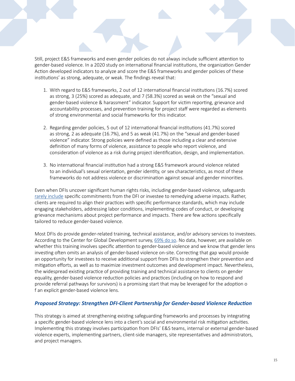Still, project E&S frameworks and even gender policies do not always include sufficient attention to gender-based violence. In a 2020 study on international financial institutions, the organization Gender Action developed indicators to analyze and score the E&S frameworks and gender policies of these institutions' as strong, adequate, or weak. The [findings](https://genderaction.org/docs/Unmet_Gender_Promises_Report.pdf) reveal that:

- 1. With regard to E&S frameworks, 2 out of 12 international financial institutions (16.7%) scored as strong, 3 (25%) scored as adequate, and 7 (58.3%) scored as weak on the "sexual and gender-based violence & harassment" indicator. Support for victim reporting, grievance and accountability processes, and prevention training for project staff were regarded as elements of strong environmental and social frameworks for this indicator.
- 2. Regarding gender policies, 5 out of 12 international financial institutions (41.7%) scored as strong, 2 as adequate (16.7%), and 5 as weak (41.7%) on the "sexual and gender-based violence" indicator. Strong policies were defined as those including a clear and extensive definition of many forms of violence, assistance to people who report violence, and consideration of violence as a risk during project identification, design, and implementation.
- 3. No international financial institution had a strong E&S framework around violence related to an individual's sexual orientation, gender identity, or sex characteristics, as most of these frameworks do not address violence or discrimination against sexual and gender minorities.

Even when DFIs uncover significant human rights risks, including gender-based violence, safeguards [rarely include](https://www.ohchr.org/Documents/Issues/Development/DFI/OHCHR_Benchmarking Study_HRDD.pdf) specific commitments from the DFI or investee to remedying adverse impacts. Rather, clients are required to align their practices with specific performance standards, which may include engaging stakeholders, addressing labor conditions, implementing codes of conduct, or developing grievance mechanisms about project performance and impacts. There are few actions specifically tailored to reduce gender-based violence.

Most DFIs do provide gender-related training, technical assistance, and/or advisory services to investees. According to the Center for Global Development survey, [69% do so.](https://www.cgdev.org/sites/default/files/gender-equity-in-development-finance-survey.pdf) No data, however, are available on whether this training involves specific attention to gender-based violence and we know that gender lens investing often omits an analysis of gender-based violence on-site. Correcting that gap would provide an opportunity for investees to receive additional support from DFIs to strengthen their prevention and mitigation efforts, as well as to maximize investment outcomes and development impact. Nevertheless, the widespread existing practice of providing training and technical assistance to clients on gender equality, gender-based violence reduction policies and practices (including on how to respond and provide referral pathways for survivors) is a promising start that may be leveraged for the adoption o f an explicit gender-based violence lens.

#### *Proposed Strategy: Strengthen DFI-Client Partnership for Gender-based Violence Reduction*

This strategy is aimed at strengthening existing safeguarding frameworks and processes by integrating a specific gender-based violence lens into a client's social and environmental risk mitigation activities. Implementing this strategy involves participation from DFIs' E&S teams, internal or external gender-based violence experts, implementing partners, client-side managers, site representatives and administrators, and project managers.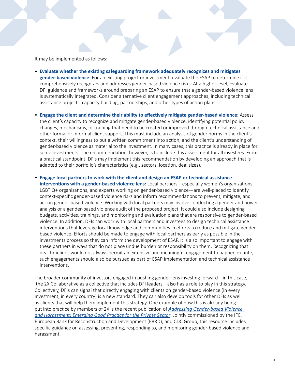It may be implemented as follows:

- **Evaluate whether the existing safeguarding framework adequately recognizes and mitigates gender-based violence:** For an existing project or investment, evaluate the ESAP to determine if it comprehensively recognizes and addresses gender-based violence risks. At a higher level, evaluate DFI guidance and frameworks around preparing an ESAP to ensure that a gender-based violence lens is systematically integrated. Consider alternative client engagement approaches, including technical assistance projects, capacity building, partnerships, and other types of action plans.
- **Engage the client and determine their ability to effectively mitigate gender-based violence:** Assess the client's capacity to recognize and mitigate gender-based violence, identifying potential policy changes, mechanisms, or training that need to be created or improved through technical assistance and other formal or informal client support. This must include an analysis of gender norms in the client's context, their willingness to put a written commitment into action, and the client's understanding of gender-based violence as material to the investment. In many cases, this practice is already in place for some investments. The recommendation, however, is to include this assessment for all investees. From a practical standpoint, DFIs may implement this recommendation by developing an approach that is adapted to their portfolio's characteristics (e.g., sectors, location, deal sizes).
- **Engage local partners to work with the client and design an ESAP or technical assistance interventions with a gender-based violence lens:** Local partners—especially women's organizations, LGBTIQ+ organizations, and experts working on gender-based violence—are well-placed to identify context-specific gender-based violence risks and inform recommendations to prevent, mitigate, and act on gender-based violence. Working with local partners may involve conducting a gender and power analysis or a gender-based violence audit of the proposed project. It could also include designing budgets, activities, trainings, and monitoring and evaluation plans that are responsive to gender-based violence. In addition, DFIs can work with local partners and investees to design technical assistance interventions that leverage local knowledge and communities in efforts to reduce and mitigate genderbased violence. Efforts should be made to engage with local partners as early as possible in the investments process so they can inform the development of ESAP. It is also important to engage with these partners in ways that do not place undue burden or responsibility on them. Recognizing that deal timelines would not always permit an extensive and meaningful engagement to happen ex ante, such engagements should also be pursued as part of ESAP implementation and technical assistance interventions.

The broader community of investors engaged in pushing gender lens investing forward—in this case, the 2X Collaborative as a collective that includes DFI leaders—also has a role to play in this strategy. Collectively, DFIs can signal that directly engaging with clients on gender-based violence (in every investment, in every country) is a new standard. They can also develop tools for other DFIs as well as clients that will help them implement this strategy. One example of how this is already being put into practice by members of 2X is the recent publication of *[Addressing Gender-based Violence](https://www.ifc.org/wps/wcm/connect/topics_ext_content/ifc_external_corporate_site/sustainability-at-ifc/publications/publications_gpn_addressinggbvh)  [and Harassment: Emerging Good Practice for the Private Sector](https://www.ifc.org/wps/wcm/connect/topics_ext_content/ifc_external_corporate_site/sustainability-at-ifc/publications/publications_gpn_addressinggbvh)*. Jointly commissioned by the IFC, European Bank for Reconstruction and Development (EBRD), and CDC Group, this resource includes specific guidance on assessing, preventing, responding to, and monitoring gender-based violence and harassment.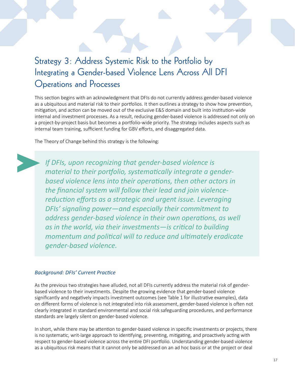### Strategy 3: Address Systemic Risk to the Portfolio by Integrating a Gender-based Violence Lens Across All DFI Operations and Processes

This section begins with an acknowledgment that DFIs do not currently address gender-based violence as a ubiquitous and material risk to their portfolios. It then outlines a strategy to show how prevention, mitigation, and action can be moved out of the exclusive E&S domain and built into institution-wide internal and investment processes. As a result, reducing gender-based violence is addressed not only on a project-by-project basis but becomes a portfolio-wide priority. The strategy includes aspects such as internal team training, sufficient funding for GBV efforts, and disaggregated data.

The Theory of Change behind this strategy is the following:

*If DFIs, upon recognizing that gender-based violence is material to their portfolio, systematically integrate a genderbased violence lens into their operations, then other actors in the financial system will follow their lead and join violencereduction efforts as a strategic and urgent issue. Leveraging DFIs' signaling power—and especially their commitment to address gender-based violence in their own operations, as well as in the world, via their investments—is critical to building momentum and political will to reduce and ultimately eradicate gender-based violence.*

#### *Background: DFIs' Current Practice*

As the previous two strategies have alluded, not all DFIs currently address the material risk of genderbased violence to their investments. Despite the growing evidence that gender-based violence significantly and negatively impacts investment outcomes (see Table 1 for illustrative examples), data on different forms of violence is not integrated into risk assessment, gender-based violence is often not clearly integrated in standard environmental and social risk safeguarding procedures, and performance standards are largely silent on gender-based violence.

In short, while there may be attention to gender-based violence in specific investments or projects, there is no systematic, writ-large approach to identifying, preventing, mitigating, and proactively acting with respect to gender-based violence across the entire DFI portfolio. Understanding gender-based violence as a ubiquitous risk means that it cannot only be addressed on an ad hoc basis or at the project or deal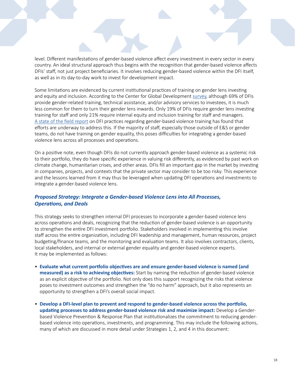level. Different manifestations of gender-based violence affect every investment in every sector in every country. An ideal structural approach thus begins with the recognition that gender-based violence affects DFIs' staff, not just project beneficiaries. It involves reducing gender-based violence within the DFI itself, as well as in its day-to-day work to invest for development impact.

Some limitations are evidenced by current institutional practices of training on gender lens investing and equity and inclusion. According to the Center for Global Development [survey,](https://www.cgdev.org/sites/default/files/gender-equity-in-development-finance-survey.pdf) although 69% of DFIs provide gender-related training, technical assistance, and/or advisory services to investees, it is much less common for them to turn their gender lens inwards. Only 19% of DFIs require gender lens investing training for staff and only 21% require internal equity and inclusion training for staff and managers. [A state of the field report](https://www.weps.org/sites/default/files/2021-10/public-development-banks-driving-gender-equality-en.pdf) on DFI practices regarding gender-based violence training has found that efforts are underway to address this. If the majority of staff, especially those outside of E&S or gender teams, do not have training on gender equality, this poses difficulties for integrating a gender-based violence lens across all processes and operations.

On a positive note, even though DFIs do not currently approach gender-based violence as a systemic risk to their portfolio, they do have specific experience in valuing risk differently, as evidenced by past work on climate change, humanitarian crises, and other areas. DFIs fill an important gap in the market by investing in companies, projects, and contexts that the private sector may consider to be too risky. This experience and the lessons learned from it may thus be leveraged when updating DFI operations and investments to integrate a gender-based violence lens.

#### *Proposed Strategy: Integrate a Gender-based Violence Lens into All Processes, Operations, and Deals*

This strategy seeks to strengthen internal DFI processes to incorporate a gender-based violence lens across operations and deals, recognizing that the reduction of gender-based violence is an opportunity to strengthen the entire DFI investment portfolio. Stakeholders involved in implementing this involve staff across the entire organization, including DFI leadership and management, human resources, project budgeting/finance teams, and the monitoring and evaluation teams. It also involves contractors, clients, local stakeholders, and internal or external gender equality and gender-based violence experts. It may be implemented as follows:

- **Evaluate what current portfolio objectives are and ensure gender-based violence is named (and measured) as a risk to achieving objectives:** Start by naming the reduction of gender-based violence as an explicit objective of the portfolio. Not only does this support recognizing the risks that violence poses to investment outcomes and strengthen the "do no harm" approach, but it also represents an opportunity to strengthen a DFI's overall social impact.
- **Develop a DFI-level plan to prevent and respond to gender-based violence across the portfolio, updating processes to address gender-based violence risk and maximize impact:** Develop a Genderbased Violence Prevention & Response Plan that institutionalizes the commitment to reducing genderbased violence into operations, investments, and programming. This may include the following actions, many of which are discussed in more detail under Strategies 1, 2, and 4 in this document: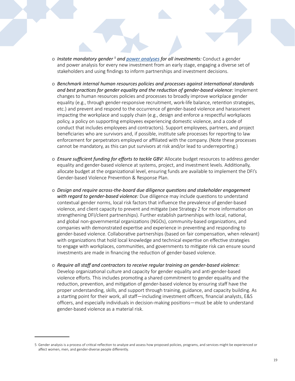- o Instate mandatory gender<sup>5</sup> and **power analyses** for all investments: Conduct a gender and power analysis for every new investment from an early stage, engaging a diverse set of stakeholders and using findings to inform partnerships and investment decisions.
- o *Benchmark internal human resources policies and processes against international standards and best practices for gender equality and the reduction of gender-based violence:* Implement changes to human resources policies and processes to broadly improve workplace gender equality (e.g., through gender-responsive recruitment, work-life balance, retention strategies, etc.) and prevent and respond to the occurrence of gender-based violence and harassment impacting the workplace and supply chain (e.g., design and enforce a respectful workplaces policy, a policy on supporting employees experiencing domestic violence, and a code of conduct that includes employees and contractors). Support employees, partners, and project beneficiaries who are survivors and, if possible, institute safe processes for reporting to law enforcement for perpetrators employed or affiliated with the company. (Note these processes cannot be mandatory, as this can put survivors at risk and/or lead to underreporting.)
- o *Ensure sufficient funding for efforts to tackle GBV:* Allocate budget resources to address gender equality and gender-based violence at systems, project, and investment levels. Additionally, allocate budget at the organizational level, ensuring funds are available to implement the DFI's Gender-based Violence Prevention & Response Plan.
- o *Design and require across-the-board due diligence questions and stakeholder engagement with regard to gender-based violence:* Due diligence may include questions to understand contextual gender norms, local risk factors that influence the prevalence of gender-based violence, and client capacity to prevent and mitigate (see Strategy 2 for more information on strengthening DFI/client partnerships). Further establish partnerships with local, national, and global non-governmental organizations (NGOs), community-based organizations, and companies with demonstrated expertise and experience in preventing and responding to gender-based violence. Collaborative partnerships (based on fair compensation, when relevant) with organizations that hold local knowledge and technical expertise on effective strategies to engage with workplaces, communities, and governments to mitigate risk can ensure sound investments are made in financing the reduction of gender-based violence.
- o *Require all staff and contractors to receive regular training on gender-based violence:*  Develop organizational culture and capacity for gender equality and anti-gender-based violence efforts. This includes promoting a shared commitment to gender equality and the reduction, prevention, and mitigation of gender-based violence by ensuring staff have the proper understanding, skills, and support through training, guidance, and capacity building. As a starting point for their work, all staff—including investment officers, financial analysts, E&S officers, and especially individuals in decision-making positions—must be able to understand gender-based violence as a material risk.

<sup>5</sup> Gender analysis is a process of critical reflection to analyze and assess how proposed policies, programs, and services might be experienced or affect women, men, and gender-diverse people differently.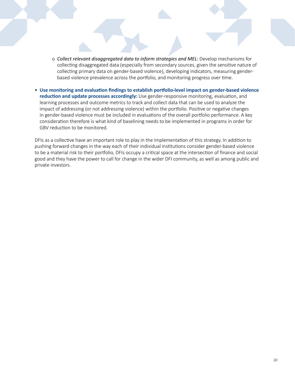- o *Collect relevant disaggregated data to inform strategies and MEL:* Develop mechanisms for collecting disaggregated data (especially from secondary sources, given the sensitive nature of collecting primary data on gender-based violence), developing indicators, measuring genderbased violence prevalence across the portfolio, and monitoring progress over time.
- **Use monitoring and evaluation findings to establish portfolio-level impact on gender-based violence reduction and update processes accordingly:** Use gender-responsive monitoring, evaluation, and learning processes and outcome metrics to track and collect data that can be used to analyze the impact of addressing (or not addressing violence) within the portfolio. Positive or negative changes in gender-based violence must be included in evaluations of the overall portfolio performance. A key consideration therefore is what kind of baselining needs to be implemented in programs in order for GBV reduction to be monitored.

DFIs as a collective have an important role to play in the implementation of this strategy. In addition to pushing forward changes in the way each of their individual institutions consider gender-based violence to be a material risk to their portfolio, DFIs occupy a critical space at the intersection of finance and social good and they have the power to call for change in the wider DFI community, as well as among public and private investors.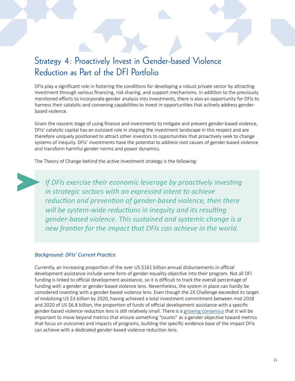## Strategy 4: Proactively Invest in Gender-based Violence Reduction as Part of the DFI Portfolio

DFIs play a significant role in fostering the conditions for developing a robust private sector by attracting investment through various financing, risk sharing, and support mechanisms. In addition to the previously mentioned efforts to incorporate gender analysis into investments, there is also an opportunity for DFIs to harness their catalytic and convening capabilities to invest in opportunities that actively address genderbased violence.

Given the nascent stage of using finance and investments to mitigate and prevent gender-based violence, DFIs' catalytic capital has an outsized role in shaping the investment landscape in this respect and are therefore uniquely positioned to attract other investors to opportunities that proactively seek to change systems of inequity. DFIs' investments have the potential to address root causes of gender-based violence and transform harmful gender norms and power dynamics.

The Theory of Change behind the active investment strategy is the following:

*If DFIs exercise their economic leverage by proactively investing in strategic sectors with an expressed intent to achieve reduction and prevention of gender-based violence, then there will be system-wide reductions in inequity and its resulting gender-based violence. This sustained and systemic change is a new frontier for the impact that DFIs can achieve in the world.*

#### *Background: DFIs' Current Practice*

Currently, an increasing proportion of the over US \$161 billion annual disbursements in official development assistance include some form of gender equality objective into their program. Not all DFI funding is linked to official development assistance, so it is difficult to track the overall percentage of funding with a gender or gender-based violence lens. Nevertheless, the system in place can hardly be considered investing with a gender-based violence lens. Even though the 2X Challenge exceeded its target of mobilizing US \$3 billion by 2020, having achieved a total investment commitment between mid-2018 and 2020 of US \$6.8 billion, the proportion of funds of official development assistance with a specific gender-based violence reduction lens is still relatively small. There is a [growing consensus](https://cdn.odi.org/media/documents/ODI_EDFI_essay_series_final.pdf) that it will be important to move beyond metrics that ensure something "counts" as a gender objective toward metrics that focus on outcomes and impacts of programs, building the specific evidence base of the impact DFIs can achieve with a dedicated gender-based violence reduction lens.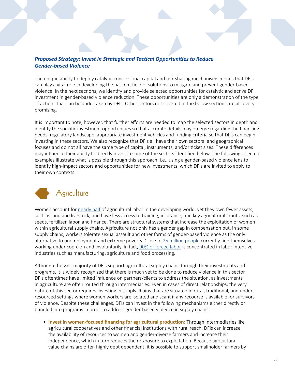#### *Proposed Strategy: Invest in Strategic and Tactical Opportunities to Reduce Gender-based Violence*

The unique ability to deploy catalytic concessional capital and risk-sharing mechanisms means that DFIs can play a vital role in developing the nascent field of solutions to mitigate and prevent gender-based violence. In the next sections, we identify and provide selected opportunities for catalytic and active DFI investment in gender-based violence reduction. These opportunities are only a demonstration of the type of actions that can be undertaken by DFIs. Other sectors not covered in the below sections are also very promising.

It is important to note, however, that further efforts are needed to map the selected sectors in depth and identify the specific investment opportunities so that accurate details may emerge regarding the financing needs, regulatory landscape, appropriate investment vehicles and funding criteria so that DFIs can begin investing in these sectors. We also recognize that DFIs all have their own sectoral and geographical focuses and do not all have the same type of capital, instruments, and/or ticket sizes. These differences may influence their ability to directly invest in some of the sectors identified below. The following selected examples illustrate what is possible through this approach, i.e., using a gender-based violence lens to identify high-impact sectors and opportunities for new investments, which DFIs are invited to apply to their own contexts.



Women account for [nearly half](http://www.fao.org/news/story/en/item/460267/icode/) of agricultural labor in the developing world, yet they own fewer assets, such as land and livestock, and have less access to training, insurance, and key agricultural inputs, such as seeds, fertilizer, labor, and finance. There are structural systems that increase the exploitation of women within agricultural supply chains. Agriculture not only has a gender gap in compensation but, in some supply chains, workers tolerate sexual assault and other forms of gender-based violence as the only alternative to unemployment and extreme poverty. Close to [25 million people](https://www.agcs.allianz.com/news-and-insights/expert-risk-articles/global-risk-dialogue-human-exploitation.html) currently find themselves working under coercion and involuntarily. In fact, [90% of forced labor](https://www.ilo.org/wcmsp5/groups/public/---ed_norm/---declaration/documents/publication/wcms_203447.pdf) is concentrated in labor intensive industries such as manufacturing, agriculture and food processing.

Although the vast majority of DFIs support agricultural supply chains through their investments and programs, it is widely recognized that there is much yet to be done to reduce violence in this sector. DFIs oftentimes have limited influence on partners/clients to address the situation, as investments in agriculture are often routed through intermediaries. Even in cases of direct relationships, the very nature of this sector requires investing in supply chains that are situated in rural, traditional, and underresourced settings where women workers are isolated and scant if any recourse is available for survivors of violence. Despite these challenges, DFIs can invest in the following mechanisms either directly or bundled into programs in order to address gender-based violence in supply chains:

• **Invest in women-focused financing for agricultural production:** Through intermediaries like agricultural cooperatives and other financial institutions with rural reach, DFIs can increase the availability of resources to women and gender-diverse farmers and increase their independence, which in turn reduces their exposure to exploitation. Because agricultural value chains are often highly debt dependent, it is possible to support smallholder farmers by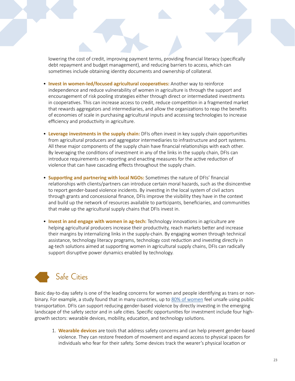lowering the cost of credit, improving payment terms, providing financial literacy (specifically debt repayment and budget management), and reducing barriers to access, which can sometimes include obtaining identity documents and ownership of collateral.

- **Invest in women-led/focused agricultural cooperatives:** Another way to reinforce independence and reduce vulnerability of women in agriculture is through the support and encouragement of risk pooling strategies either through direct or intermediated investments in cooperatives. This can increase access to credit, reduce competition in a fragmented market that rewards aggregators and intermediaries, and allow the organizations to reap the benefits of economies of scale in purchasing agricultural inputs and accessing technologies to increase efficiency and productivity in agriculture.
- **Leverage investments in the supply chain:** DFIs often invest in key supply chain opportunities from agricultural producers and aggregator intermediaries to infrastructure and port systems. All these major components of the supply chain have financial relationships with each other. By leveraging the conditions of investment in any of the links in the supply chain, DFIs can introduce requirements on reporting and enacting measures for the active reduction of violence that can have cascading effects throughout the supply chain.
- **Supporting and partnering with local NGOs:** Sometimes the nature of DFIs' financial relationships with clients/partners can introduce certain moral hazards, such as the disincentive to report gender-based violence incidents. By investing in the local system of civil actors through grants and concessional finance, DFIs improve the visibility they have in the context and build up the network of resources available to participants, beneficiaries, and communities that make up the agricultural supply chains that DFIs invest in.
- **Invest in and engage with women in ag-tech:** Technology innovations in agriculture are helping agricultural producers increase their productivity, reach markets better and increase their margins by internalizing links in the supply-chain. By engaging women through technical assistance, technology literacy programs, technology cost reduction and investing directly in ag-tech solutions aimed at supporting women in agricultural supply chains, DFIs can radically support disruptive power dynamics enabled by technology.

# Safe Cities

Basic day-to-day safety is one of the leading concerns for women and people identifying as trans or nonbinary. For example, a study found that in many countries, up to [80% of women](https://www.itf-oecd.org/sites/default/files/docs/womens-safety-security_0.pdf) feel unsafe using public transportation. DFIs can support reducing gender-based violence by directly investing in the emerging landscape of the safety sector and in safe cities. Specific opportunities for investment include four highgrowth sectors: wearable devices, mobility, education, and technology solutions.

1. **Wearable devices** are tools that address safety concerns and can help prevent gender-based violence. They can restore freedom of movement and expand access to physical spaces for individuals who fear for their safety. Some devices track the wearer's physical location or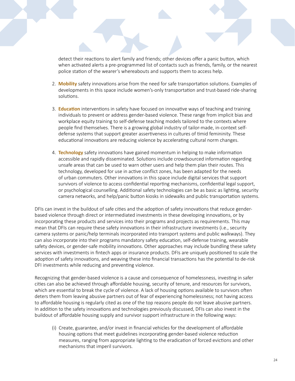detect their reactions to alert family and friends; other devices offer a panic button, which when activated alerts a pre-programmed list of contacts such as friends, family, or the nearest police station of the wearer's whereabouts and supports them to access help.

- 2. **Mobility** safety innovations arise from the need for safe transportation solutions. Examples of developments in this space include women's-only transportation and trust-based ride-sharing solutions.
- 3. **Education** interventions in safety have focused on innovative ways of teaching and training individuals to prevent or address gender-based violence. These range from implicit bias and workplace equity training to self-defense teaching models tailored to the contexts where people find themselves. There is a growing global industry of tailor-made, in-context selfdefense systems that support greater assertiveness in cultures of timid femininity. These educational innovations are reducing violence by accelerating cultural norm changes.
- 4. **Technology** safety innovations have gained momentum in helping to make information accessible and rapidly disseminated. Solutions include crowdsourced information regarding unsafe areas that can be used to warn other users and help them plan their routes. This technology, developed for use in active conflict zones, has been adapted for the needs of urban commuters. Other innovations in this space include digital services that support survivors of violence to access confidential reporting mechanisms, confidential legal support, or psychological counselling. Additional safety technologies can be as basic as lighting, security camera networks, and help/panic button kiosks in sidewalks and public transportation systems.

DFIs can invest in the buildout of safe cities and the adoption of safety innovations that reduce genderbased violence through direct or intermediated investments in these developing innovations, or by incorporating these products and services into their programs and projects as requirements. This may mean that DFIs can require these safety innovations in their infrastructure investments (i.e., security camera systems or panic/help terminals incorporated into transport systems and public walkways). They can also incorporate into their programs mandatory safety education, self-defense training, wearable safety devices, or gender-safe mobility innovations. Other approaches may include bundling these safety services with investments in fintech apps or insurance products. DFIs are uniquely positioned to scale the adoption of safety innovations, and weaving these into financial transactions has the potential to de-risk DFI investments while reducing and preventing violence.

Recognizing that gender-based violence is a cause and consequence of homelessness, investing in safer cities can also be achieved through affordable housing, security of tenure, and resources for survivors, which are essential to break the cycle of violence. A lack of housing options available to survivors often deters them from leaving abusive partners out of fear of experiencing homelessness; not having access to affordable housing is regularly cited as one of the top reasons people do not leave abusive partners. In addition to the safety innovations and technologies previously discussed, DFIs can also invest in the buildout of affordable housing supply and survivor support infrastructure in the following ways:

(i) Create, guarantee, and/or invest in financial vehicles for the development of affordable housing options that meet guidelines incorporating gender-based violence reduction measures, ranging from appropriate lighting to the eradication of forced evictions and other mechanisms that imperil survivors.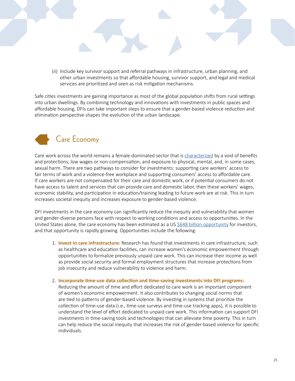(ii) Include key survivor support and referral pathways in infrastructure, urban planning, and other urban investments so that affordable housing, survivor support, and legal and medical services are prioritized and seen as risk mitigation mechanisms.

Safe cities investments are gaining importance as most of the global population shifts from rural settings into urban dwellings. By combining technology and innovations with investments in public spaces and affordable housing, DFIs can take important steps to ensure that a gender-based violence reduction and elimination perspective shapes the evolution of the urban landscape.



Care work across the world remains a female-dominated sector that is [characterized](https://www.ilo.org/global/topics/care-economy/care-for-fow/lang--en/index.htm) by a void of benefits and protections, low wages or non-compensation, and exposure to physical, mental, and, in some cases, sexual harm. There are two pathways to consider for investments: supporting care workers' access to fair terms of work and a violence-free workplace and supporting consumers' access to affordable care. If care workers are not compensated for their care and domestic work, or if potential consumers do not have access to talent and services that can provide care and domestic labor, then these workers' wages, economic stability, and participation in education/training leading to future work are at risk. This in turn increases societal inequity and increases exposure to gender-based violence.

DFI investments in the care economy can significantly reduce the inequity and vulnerability that women and gender-diverse persons face with respect to working conditions and access to opportunities. In the United States alone, the care economy has been estimated as a US [\\$648 billion opportunity](https://www.pivotalventures.org/newsroom/648-billion-reasons-why-care-economy-serious-business) for investors, and that opportunity is rapidly growing. Opportunities include the following:

- 1. **Invest in care infrastructure:** Research has found that investments in care infrastructure, such as healthcare and education facilities, can increase women's economic empowerment through opportunities to formalize previously unpaid care work. This can increase their income as well as provide social security and formal employment structures that increase protections from job insecurity and reduce vulnerability to violence and harm.
- 2. **Incorporate time-use data collection and time-saving investments into DFI programs:** Reducing the amount of time and effort dedicated to care work is an important component of women's economic empowerment. It also contributes to changing social norms that are tied to patterns of gender-based violence. By investing in systems that prioritize the collection of time-use data (i.e., time-use surveys and time-use tracking apps), it is possible to understand the level of effort dedicated to unpaid care work. This information can support DFI investments in time-saving tools and technologies that can alleviate time poverty. This in turn can help reduce the social inequity that increases the risk of gender-based violence for specific individuals.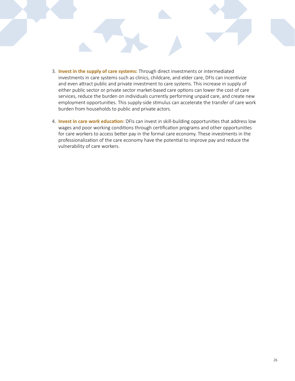- 3. **Invest in the supply of care systems:** Through direct investments or intermediated investments in care systems such as clinics, childcare, and elder care, DFIs can incentivize and even attract public and private investment to care systems. This increase in supply of either public sector or private sector market-based care options can lower the cost of care services, reduce the burden on individuals currently performing unpaid care, and create new employment opportunities. This supply-side stimulus can accelerate the transfer of care work burden from households to public and private actors.
- 4. **Invest in care work education:** DFIs can invest in skill-building opportunities that address low wages and poor working conditions through certification programs and other opportunities for care workers to access better pay in the formal care economy. These investments in the professionalization of the care economy have the potential to improve pay and reduce the vulnerability of care workers.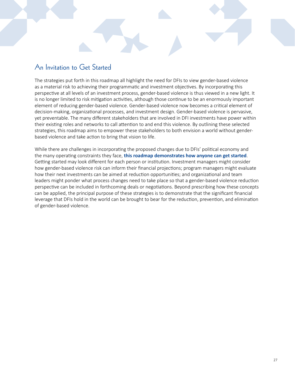### An Invitation to Get Started

The strategies put forth in this roadmap all highlight the need for DFIs to view gender-based violence as a material risk to achieving their programmatic and investment objectives. By incorporating this perspective at all levels of an investment process, gender-based violence is thus viewed in a new light. It is no longer limited to risk mitigation activities, although those continue to be an enormously important element of reducing gender-based violence. Gender-based violence now becomes a critical element of decision-making, organizational processes, and investment design. Gender-based violence is pervasive, yet preventable. The many different stakeholders that are involved in DFI investments have power within their existing roles and networks to call attention to and end this violence. By outlining these selected strategies, this roadmap aims to empower these stakeholders to both envision a world without genderbased violence and take action to bring that vision to life.

While there are challenges in incorporating the proposed changes due to DFIs' political economy and the many operating constraints they face, **this roadmap demonstrates how anyone can get started**. Getting started may look different for each person or institution. Investment managers might consider how gender-based violence risk can inform their financial projections; program managers might evaluate how their next investments can be aimed at reduction opportunities; and organizational and team leaders might ponder what process changes need to take place so that a gender-based violence reduction perspective can be included in forthcoming deals or negotiations. Beyond prescribing how these concepts can be applied, the principal purpose of these strategies is to demonstrate that the significant financial leverage that DFIs hold in the world can be brought to bear for the reduction, prevention, and elimination of gender-based violence.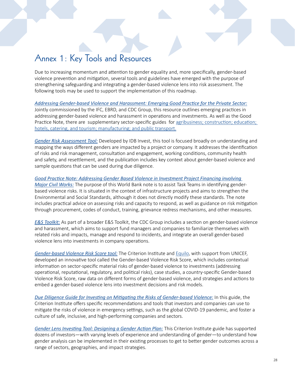### Annex 1: Key Tools and Resources

Due to increasing momentum and attention to gender equality and, more specifically, gender-based violence prevention and mitigation, several tools and guidelines have emerged with the purpose of strengthening safeguarding and integrating a gender-based violence lens into risk assessment. The following tools may be used to support the implementation of this roadmap.

*[Addressing Gender-based Violence and Harassment: Emerging Good Practice for the Private Sector:](https://www.ifc.org/wps/wcm/connect/topics_ext_content/ifc_external_corporate_site/sustainability-at-ifc/publications/publications_gpn_addressinggbvh)* Jointly commissioned by the IFC, EBRD, and CDC Group, this resource outlines emerging practices in addressing gender-based violence and harassment in operations and investments. As well as the Good Practice Note, there are supplementary sector-specific guides for [agribusiness; construction; education;](https://www.ifc.org/wps/wcm/connect/topics_ext_content/ifc_external_corporate_site/sustainability-at-ifc/publications/publications_gpn_addressinggbvh)  [hotels, catering, and tourism; manufacturing; and public transport.](https://www.ifc.org/wps/wcm/connect/topics_ext_content/ifc_external_corporate_site/sustainability-at-ifc/publications/publications_gpn_addressinggbvh)

*[Gender Risk Assessment Tool:](https://www.idbinvest.org/en/publications/gender-risk-assessment-tool)* Developed by IDB Invest, this tool is focused broadly on understanding and mapping the ways different genders are impacted by a project or company. It addresses the identification of risks and risk management, consultation and engagement, working conditions, community health and safety, and resettlement, and the publication includes key context about gender-based violence and sample questions that can be used during due diligence.

*[Good Practice Note: Addressing Gender Based Violence in Investment Project Financing involving](https://documents1.worldbank.org/curated/en/399881538336159607/Environment-and-Social-Framework-ESF-Good-Practice-Note-on-Gender-based-Violence-English.pdf)  [Major Civil Works:](https://documents1.worldbank.org/curated/en/399881538336159607/Environment-and-Social-Framework-ESF-Good-Practice-Note-on-Gender-based-Violence-English.pdf)* The purpose of this World Bank note is to assist Task Teams in identifying genderbased violence risks. It is situated in the context of infrastructure projects and aims to strengthen the Environmental and Social Standards, although it does not directly modify these standards. The note includes practical advice on assessing risks and capacity to respond, as well as guidance on risk mitigation through procurement, codes of conduct, training, grievance redress mechanisms, and other measures.

*[E&S Toolkit:](https://toolkit.cdcgroup.com/esg-topics/gender-based-violence-and-harassment/)* As part of a broader E&S Toolkit, the CDC Group includes a section on gender-based violence and harassment, which aims to support fund managers and companies to familiarize themselves with related risks and impacts, manage and respond to incidents, and integrate an overall gender-based violence lens into investments in company operations.

*[Gender-based Violence Risk Score tool:](https://www.equilo.io/product-page/gbv-risk-score-for-investments)* The Criterion Institute and [Equilo,](https://www.equilo.io/) with support from UNICEF, developed an innovative tool called the Gender-based Violence Risk Score, which includes contextual information on sector-specific material risks of gender-based violence to investments (addressing operational, reputational, regulatory, and political risks), case studies, a country-specific Gender-based Violence Risk Score, raw data on different forms of gender-based violence, and strategies and actions to embed a gender-based violence lens into investment decisions and risk models.

*[Due Diligence Guide for Investing on Mitigating the Risks of Gender-based Violence:](https://www.unicef.org/sites/default/files/2020-06/Covid-19-Diligence-Tool-UNICEF-Criterion.pdf)* In this guide, the Criterion Institute offers specific recommendations and tools that investors and companies can use to mitigate the risks of violence in emergency settings, such as the global COVID-19 pandemic, and foster a culture of safe, inclusive, and high-performing companies and sectors.

*[Gender Lens Investing Tool: Designing a Gender Action Plan:](https://criterioninstitute.org/resources/gender-lens-investing-tool-designing-an-action-plan)* This Criterion Institute guide has supported dozens of investors—with varying levels of experience and understanding of gender—to understand how gender analysis can be implemented in their existing processes to get to better gender outcomes across a range of sectors, geographies, and impact strategies.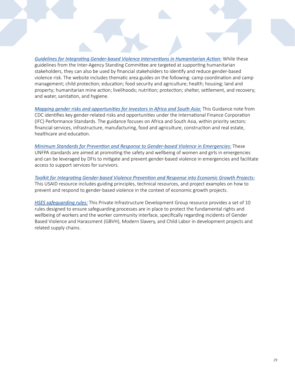*[Guidelines for Integrating Gender-based Violence Interventions in Humanitarian Action:](https://gbvguidelines.org/en/)* While these guidelines from the Inter-Agency Standing Committee are targeted at supporting humanitarian stakeholders, they can also be used by financial stakeholders to identify and reduce gender-based violence risk. The website includes thematic area guides on the following: camp coordination and camp management; child protection; education; food security and agriculture; health; housing; land and property; humanitarian mine action; livelihoods; nutrition; protection; shelter, settlement, and recovery; and water, sanitation, and hygiene.

*[Mapping gender risks and opportunities for investors in Africa and South Asia:](https://www.cdcgroup.com/en/news-insight/insight/articles/mapping-gender-risks-and-opportunities-for-investors-in-africa-and-south-asia/)* This Guidance note from CDC identifies key gender-related risks and opportunities under the International Finance Corporation (IFC) Performance Standards. The guidance focuses on Africa and South Asia, within priority sectors: financial services, infrastructure, manufacturing, food and agriculture, construction and real estate, healthcare and education.

*[Minimum Standards for Prevention and Response to Gender-based Violence in Emergencies:](https://www.unfpa.org/featured-publication/gbvie-standards)* These UNFPA standards are aimed at promoting the safety and wellbeing of women and girls in emergencies and can be leveraged by DFIs to mitigate and prevent gender-based violence in emergencies and facilitate access to support services for survivors.

*[Toolkit for Integrating Gender-based Violence Prevention and Response into Economic Growth Projects:](https://www.usaid.gov/sites/default/files/documents/1865/USAID Toolkit GBV EG Final 9-22-14.pdf)* This USAID resource includes guiding principles, technical resources, and project examples on how to prevent and respond to gender-based violence in the context of economic growth projects.

*[HSES safeguarding rules:](https://www.pidg.org/wp-content/uploads/2020/10/HSES-003-014-PIDG-HSES-Safeguarding-Rules-Booklet.pdf)* This Private Infrastructure Development Group resource provides a set of 10 rules designed to ensure safeguarding processes are in place to protect the fundamental rights and wellbeing of workers and the worker community interface, specifically regarding incidents of Gender Based Violence and Harassment (GBVH), Modern Slavery, and Child Labor in development projects and related supply chains.